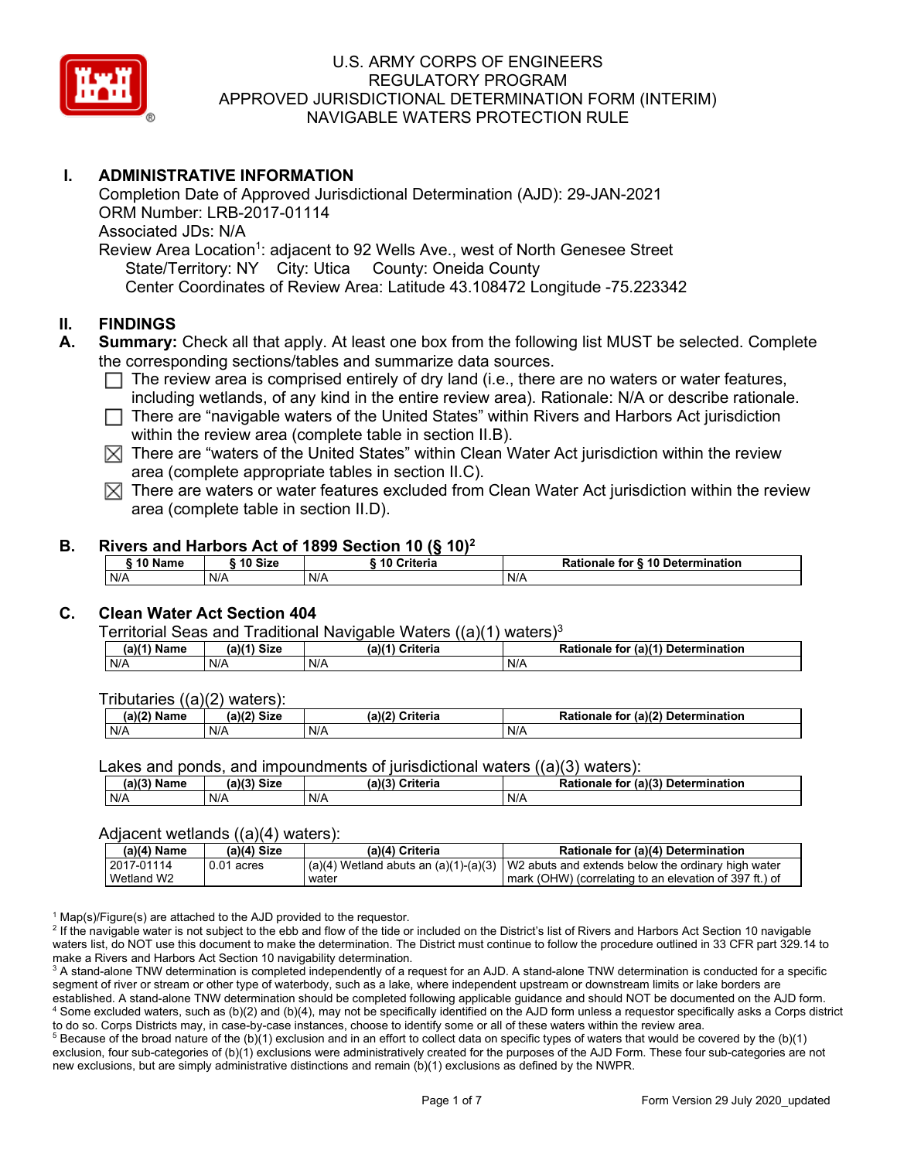

# **I. ADMINISTRATIVE INFORMATION**

Completion Date of Approved Jurisdictional Determination (AJD): 29-JAN-2021 ORM Number: LRB-2017-01114 Associated JDs: N/A Review Area Location<sup>1</sup>: adjacent to 92 Wells Ave., west of North Genesee Street State/Territory: NY City: Utica County: Oneida County Center Coordinates of Review Area: Latitude 43.108472 Longitude -75.223342

### **II. FINDINGS**

- **A. Summary:** Check all that apply. At least one box from the following list MUST be selected. Complete the corresponding sections/tables and summarize data sources.
	- $\Box$  The review area is comprised entirely of dry land (i.e., there are no waters or water features, including wetlands, of any kind in the entire review area). Rationale: N/A or describe rationale.
	- $\Box$  There are "navigable waters of the United States" within Rivers and Harbors Act jurisdiction within the review area (complete table in section II.B).
	- $\boxtimes$  There are "waters of the United States" within Clean Water Act jurisdiction within the review area (complete appropriate tables in section II.C).
	- $\boxtimes$  There are waters or water features excluded from Clean Water Act jurisdiction within the review area (complete table in section II.D).

#### **B. Rivers and Harbors Act of 1899 Section 10 (§ 10)2**

| 10 Name | 10 Size | ີ 10 Criteria<br>ruerra | ⋅ § 10 Determination<br><b>Rationale for §</b> |
|---------|---------|-------------------------|------------------------------------------------|
| N/A     | N/A     | N/A                     | N/A                                            |

# **C. Clean Water Act Section 404**

Territorial Seas and Traditional Navigable Waters  $((a)(1)$  waters)<sup>3</sup>

| $(a)(1)$ Name | (a)<br><b>Size</b> | $(a)$ / $'$<br>Criteria | (a)(1) Determination<br><b>Rationale</b><br>for |
|---------------|--------------------|-------------------------|-------------------------------------------------|
| N/A           | N/A                | N/A                     | N/A                                             |

Tributaries ((a)(2) waters):

| (a)/2<br>$ -$<br>Name | (a)(2)<br><b>Size</b> | (a)(2)<br>$\sim$ $\sim$ ritoria<br>uriteria | r (a)(2) Deterr<br>Ration<br>mination <sup>.</sup><br>for<br>nale |
|-----------------------|-----------------------|---------------------------------------------|-------------------------------------------------------------------|
| N/A                   | N/A                   | N/A                                         | N/A                                                               |

Lakes and ponds, and impoundments of jurisdictional waters  $((a)(3)$  waters):

| (a)(3) * *<br>Name | <b>Size</b><br>$(a)$ (?) | -1191<br>Criteria<br>.ane | (a)(3)<br>Determination<br><b>Rationale</b><br>for |
|--------------------|--------------------------|---------------------------|----------------------------------------------------|
| N/A                | N/A                      | N/A                       | N/A                                                |

#### Adjacent wetlands ((a)(4) waters):

| (a)(4) Name | $(a)(4)$ Size | (a)(4) Criteria | Rationale for (a)(4) Determination                                                                 |
|-------------|---------------|-----------------|----------------------------------------------------------------------------------------------------|
| 2017-01114  | $0.01$ acres  |                 | $\binom{1}{4}$ Wetland abuts an (a)(1)-(a)(3)   W2 abuts and extends below the ordinary high water |
| Wetland W2  |               | water           | mark (OHW) (correlating to an elevation of 397 ft.) of                                             |

 $1$  Map(s)/Figure(s) are attached to the AJD provided to the requestor.

<sup>2</sup> If the navigable water is not subject to the ebb and flow of the tide or included on the District's list of Rivers and Harbors Act Section 10 navigable waters list, do NOT use this document to make the determination. The District must continue to follow the procedure outlined in 33 CFR part 329.14 to make a Rivers and Harbors Act Section 10 navigability determination.

<sup>3</sup> A stand-alone TNW determination is completed independently of a request for an AJD. A stand-alone TNW determination is conducted for a specific segment of river or stream or other type of waterbody, such as a lake, where independent upstream or downstream limits or lake borders are established. A stand-alone TNW determination should be completed following applicable guidance and should NOT be documented on the AJD form. <sup>4</sup> Some excluded waters, such as (b)(2) and (b)(4), may not be specifically identified on the AJD form unless a requestor specifically asks a Corps district to do so. Corps Districts may, in case-by-case instances, choose to identify some or all of these waters within the review area.

 $5$  Because of the broad nature of the (b)(1) exclusion and in an effort to collect data on specific types of waters that would be covered by the (b)(1) exclusion, four sub-categories of (b)(1) exclusions were administratively created for the purposes of the AJD Form. These four sub-categories are not new exclusions, but are simply administrative distinctions and remain (b)(1) exclusions as defined by the NWPR.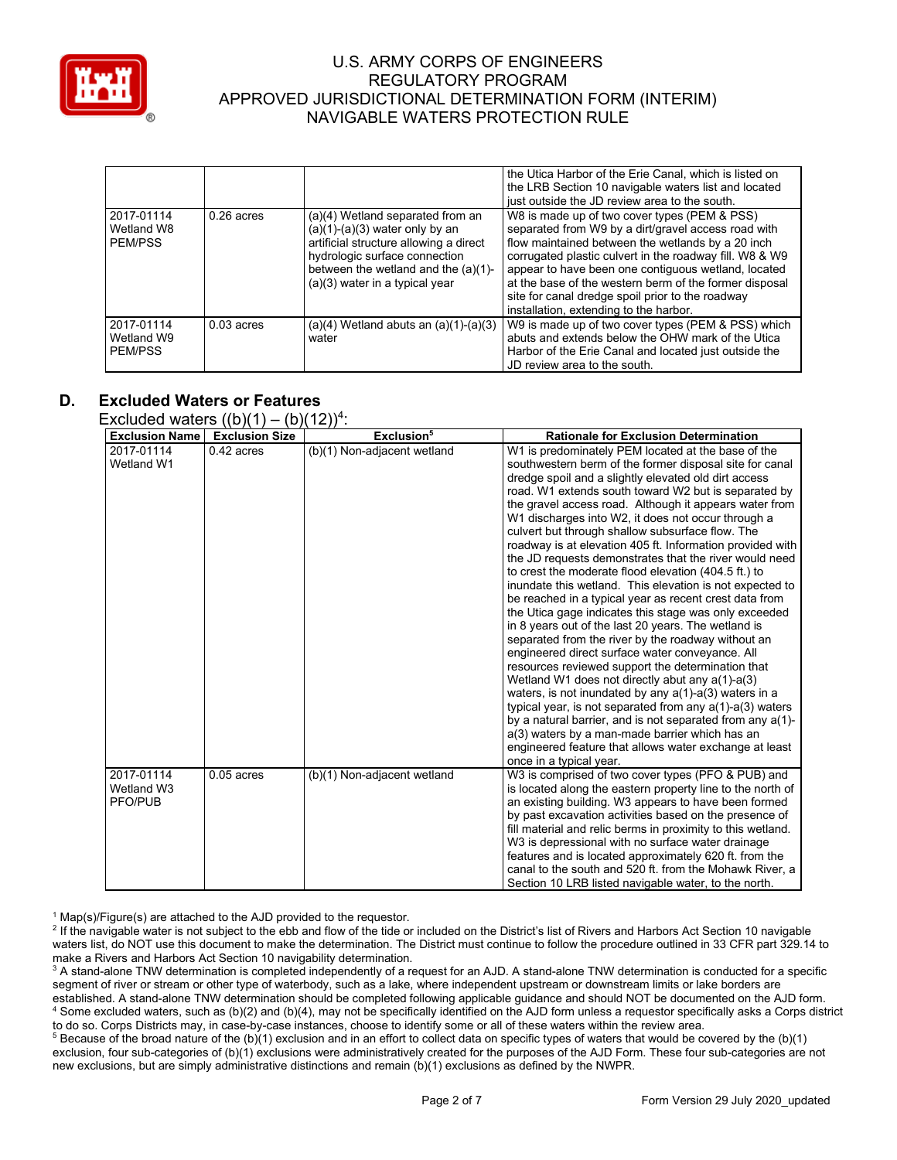

|                                            |              |                                                                                                                                                                                                                            | the Utica Harbor of the Erie Canal, which is listed on<br>the LRB Section 10 navigable waters list and located<br>just outside the JD review area to the south.                                                                                                                                                                                                                                                                    |
|--------------------------------------------|--------------|----------------------------------------------------------------------------------------------------------------------------------------------------------------------------------------------------------------------------|------------------------------------------------------------------------------------------------------------------------------------------------------------------------------------------------------------------------------------------------------------------------------------------------------------------------------------------------------------------------------------------------------------------------------------|
| 2017-01114<br>Wetland W8<br><b>PEM/PSS</b> | $0.26$ acres | (a)(4) Wetland separated from an<br>$(a)(1)-(a)(3)$ water only by an<br>artificial structure allowing a direct<br>hydrologic surface connection<br>between the wetland and the (a)(1)-<br>$(a)(3)$ water in a typical year | W8 is made up of two cover types (PEM & PSS)<br>separated from W9 by a dirt/gravel access road with<br>flow maintained between the wetlands by a 20 inch<br>corrugated plastic culvert in the roadway fill. W8 & W9<br>appear to have been one contiguous wetland, located<br>at the base of the western berm of the former disposal<br>site for canal dredge spoil prior to the roadway<br>installation, extending to the harbor. |
| 2017-01114<br>Wetland W9<br>PEM/PSS        | $0.03$ acres | $(a)(4)$ Wetland abuts an $(a)(1)-(a)(3)$<br>water                                                                                                                                                                         | W9 is made up of two cover types (PEM & PSS) which<br>abuts and extends below the OHW mark of the Utica<br>Harbor of the Erie Canal and located just outside the<br>JD review area to the south.                                                                                                                                                                                                                                   |

# **D. Excluded Waters or Features**

Excluded waters  $((b)(1) - (b)(12))^4$ :

| <b>Exclusion Name</b>               | $(1 - 1)$ $(1 - 1)$<br><b>Exclusion Size</b> | Exclusion <sup>5</sup>      | <b>Rationale for Exclusion Determination</b>                                                                                                                                                                                                                                                                                                                                                                                                                                                                                                                                                                                                                                                                                                                                                                                                                                                                                                                                                                                                                                                                                                                                                                                                                                               |
|-------------------------------------|----------------------------------------------|-----------------------------|--------------------------------------------------------------------------------------------------------------------------------------------------------------------------------------------------------------------------------------------------------------------------------------------------------------------------------------------------------------------------------------------------------------------------------------------------------------------------------------------------------------------------------------------------------------------------------------------------------------------------------------------------------------------------------------------------------------------------------------------------------------------------------------------------------------------------------------------------------------------------------------------------------------------------------------------------------------------------------------------------------------------------------------------------------------------------------------------------------------------------------------------------------------------------------------------------------------------------------------------------------------------------------------------|
| 2017-01114                          | $0.42$ acres                                 | (b)(1) Non-adjacent wetland | W1 is predominately PEM located at the base of the                                                                                                                                                                                                                                                                                                                                                                                                                                                                                                                                                                                                                                                                                                                                                                                                                                                                                                                                                                                                                                                                                                                                                                                                                                         |
| Wetland W1                          |                                              |                             | southwestern berm of the former disposal site for canal<br>dredge spoil and a slightly elevated old dirt access<br>road. W1 extends south toward W2 but is separated by<br>the gravel access road. Although it appears water from<br>W1 discharges into W2, it does not occur through a<br>culvert but through shallow subsurface flow. The<br>roadway is at elevation 405 ft. Information provided with<br>the JD requests demonstrates that the river would need<br>to crest the moderate flood elevation (404.5 ft.) to<br>inundate this wetland. This elevation is not expected to<br>be reached in a typical year as recent crest data from<br>the Utica gage indicates this stage was only exceeded<br>in 8 years out of the last 20 years. The wetland is<br>separated from the river by the roadway without an<br>engineered direct surface water conveyance. All<br>resources reviewed support the determination that<br>Wetland W1 does not directly abut any $a(1)-a(3)$<br>waters, is not inundated by any $a(1)$ -a(3) waters in a<br>typical year, is not separated from any $a(1)$ - $a(3)$ waters<br>by a natural barrier, and is not separated from any a(1)-<br>a(3) waters by a man-made barrier which has an<br>engineered feature that allows water exchange at least |
|                                     |                                              |                             | once in a typical year.                                                                                                                                                                                                                                                                                                                                                                                                                                                                                                                                                                                                                                                                                                                                                                                                                                                                                                                                                                                                                                                                                                                                                                                                                                                                    |
| 2017-01114<br>Wetland W3<br>PFO/PUB | $0.05$ acres                                 | (b)(1) Non-adjacent wetland | W3 is comprised of two cover types (PFO & PUB) and<br>is located along the eastern property line to the north of<br>an existing building. W3 appears to have been formed<br>by past excavation activities based on the presence of<br>fill material and relic berms in proximity to this wetland.<br>W3 is depressional with no surface water drainage<br>features and is located approximately 620 ft. from the<br>canal to the south and 520 ft. from the Mohawk River, a<br>Section 10 LRB listed navigable water, to the north.                                                                                                                                                                                                                                                                                                                                                                                                                                                                                                                                                                                                                                                                                                                                                        |

 $1$  Map(s)/Figure(s) are attached to the AJD provided to the requestor.

<sup>2</sup> If the navigable water is not subject to the ebb and flow of the tide or included on the District's list of Rivers and Harbors Act Section 10 navigable waters list, do NOT use this document to make the determination. The District must continue to follow the procedure outlined in 33 CFR part 329.14 to make a Rivers and Harbors Act Section 10 navigability determination.

<sup>3</sup> A stand-alone TNW determination is completed independently of a request for an AJD. A stand-alone TNW determination is conducted for a specific segment of river or stream or other type of waterbody, such as a lake, where independent upstream or downstream limits or lake borders are established. A stand-alone TNW determination should be completed following applicable guidance and should NOT be documented on the AJD form. <sup>4</sup> Some excluded waters, such as (b)(2) and (b)(4), may not be specifically identified on the AJD form unless a requestor specifically asks a Corps district to do so. Corps Districts may, in case-by-case instances, choose to identify some or all of these waters within the review area.

<sup>5</sup> Because of the broad nature of the (b)(1) exclusion and in an effort to collect data on specific types of waters that would be covered by the (b)(1) exclusion, four sub-categories of (b)(1) exclusions were administratively created for the purposes of the AJD Form. These four sub-categories are not new exclusions, but are simply administrative distinctions and remain (b)(1) exclusions as defined by the NWPR.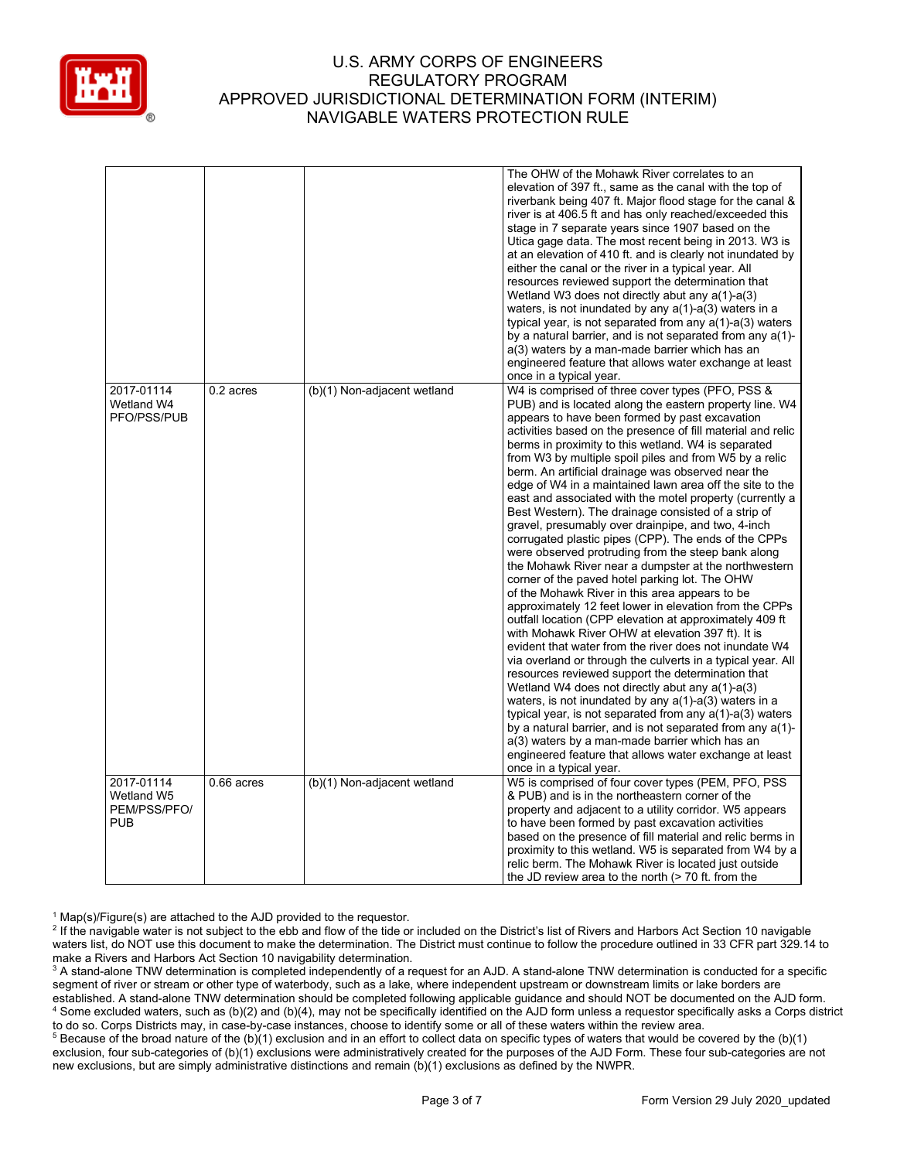

|                                                        |              |                             | The OHW of the Mohawk River correlates to an<br>elevation of 397 ft., same as the canal with the top of<br>riverbank being 407 ft. Major flood stage for the canal &<br>river is at 406.5 ft and has only reached/exceeded this<br>stage in 7 separate years since 1907 based on the<br>Utica gage data. The most recent being in 2013. W3 is<br>at an elevation of 410 ft. and is clearly not inundated by<br>either the canal or the river in a typical year. All<br>resources reviewed support the determination that<br>Wetland W3 does not directly abut any $a(1)$ -a(3)<br>waters, is not inundated by any $a(1)$ -a(3) waters in a<br>typical year, is not separated from any a(1)-a(3) waters<br>by a natural barrier, and is not separated from any a(1)-<br>a(3) waters by a man-made barrier which has an<br>engineered feature that allows water exchange at least<br>once in a typical year.                                                                                                                                                                                                                                                                                                                                                                                                                                                                                                                                                                                                                                                                                                                                                        |
|--------------------------------------------------------|--------------|-----------------------------|-------------------------------------------------------------------------------------------------------------------------------------------------------------------------------------------------------------------------------------------------------------------------------------------------------------------------------------------------------------------------------------------------------------------------------------------------------------------------------------------------------------------------------------------------------------------------------------------------------------------------------------------------------------------------------------------------------------------------------------------------------------------------------------------------------------------------------------------------------------------------------------------------------------------------------------------------------------------------------------------------------------------------------------------------------------------------------------------------------------------------------------------------------------------------------------------------------------------------------------------------------------------------------------------------------------------------------------------------------------------------------------------------------------------------------------------------------------------------------------------------------------------------------------------------------------------------------------------------------------------------------------------------------------------|
| 2017-01114<br>Wetland W4<br>PFO/PSS/PUB                | 0.2 acres    | (b)(1) Non-adjacent wetland | W4 is comprised of three cover types (PFO, PSS &<br>PUB) and is located along the eastern property line. W4<br>appears to have been formed by past excavation<br>activities based on the presence of fill material and relic<br>berms in proximity to this wetland. W4 is separated<br>from W3 by multiple spoil piles and from W5 by a relic<br>berm. An artificial drainage was observed near the<br>edge of W4 in a maintained lawn area off the site to the<br>east and associated with the motel property (currently a<br>Best Western). The drainage consisted of a strip of<br>gravel, presumably over drainpipe, and two, 4-inch<br>corrugated plastic pipes (CPP). The ends of the CPPs<br>were observed protruding from the steep bank along<br>the Mohawk River near a dumpster at the northwestern<br>corner of the paved hotel parking lot. The OHW<br>of the Mohawk River in this area appears to be<br>approximately 12 feet lower in elevation from the CPPs<br>outfall location (CPP elevation at approximately 409 ft<br>with Mohawk River OHW at elevation 397 ft). It is<br>evident that water from the river does not inundate W4<br>via overland or through the culverts in a typical year. All<br>resources reviewed support the determination that<br>Wetland W4 does not directly abut any $a(1)-a(3)$<br>waters, is not inundated by any $a(1)$ -a(3) waters in a<br>typical year, is not separated from any $a(1)$ - $a(3)$ waters<br>by a natural barrier, and is not separated from any a(1)-<br>a(3) waters by a man-made barrier which has an<br>engineered feature that allows water exchange at least<br>once in a typical year. |
| 2017-01114<br>Wetland W5<br>PEM/PSS/PFO/<br><b>PUB</b> | $0.66$ acres | (b)(1) Non-adjacent wetland | W5 is comprised of four cover types (PEM, PFO, PSS<br>& PUB) and is in the northeastern corner of the<br>property and adjacent to a utility corridor. W5 appears<br>to have been formed by past excavation activities<br>based on the presence of fill material and relic berms in<br>proximity to this wetland. W5 is separated from W4 by a<br>relic berm. The Mohawk River is located just outside<br>the JD review area to the north $($ > 70 ft. from the                                                                                                                                                                                                                                                                                                                                                                                                                                                                                                                                                                                                                                                                                                                                                                                                                                                                                                                                                                                                                                                                                                                                                                                                    |

 $1$  Map(s)/Figure(s) are attached to the AJD provided to the requestor.

<sup>&</sup>lt;sup>2</sup> If the navigable water is not subject to the ebb and flow of the tide or included on the District's list of Rivers and Harbors Act Section 10 navigable waters list, do NOT use this document to make the determination. The District must continue to follow the procedure outlined in 33 CFR part 329.14 to make a Rivers and Harbors Act Section 10 navigability determination.

<sup>&</sup>lt;sup>3</sup> A stand-alone TNW determination is completed independently of a request for an AJD. A stand-alone TNW determination is conducted for a specific segment of river or stream or other type of waterbody, such as a lake, where independent upstream or downstream limits or lake borders are established. A stand-alone TNW determination should be completed following applicable guidance and should NOT be documented on the AJD form. <sup>4</sup> Some excluded waters, such as (b)(2) and (b)(4), may not be specifically identified on the AJD form unless a requestor specifically asks a Corps district to do so. Corps Districts may, in case-by-case instances, choose to identify some or all of these waters within the review area.

<sup>&</sup>lt;sup>5</sup> Because of the broad nature of the (b)(1) exclusion and in an effort to collect data on specific types of waters that would be covered by the (b)(1) exclusion, four sub-categories of (b)(1) exclusions were administratively created for the purposes of the AJD Form. These four sub-categories are not new exclusions, but are simply administrative distinctions and remain (b)(1) exclusions as defined by the NWPR.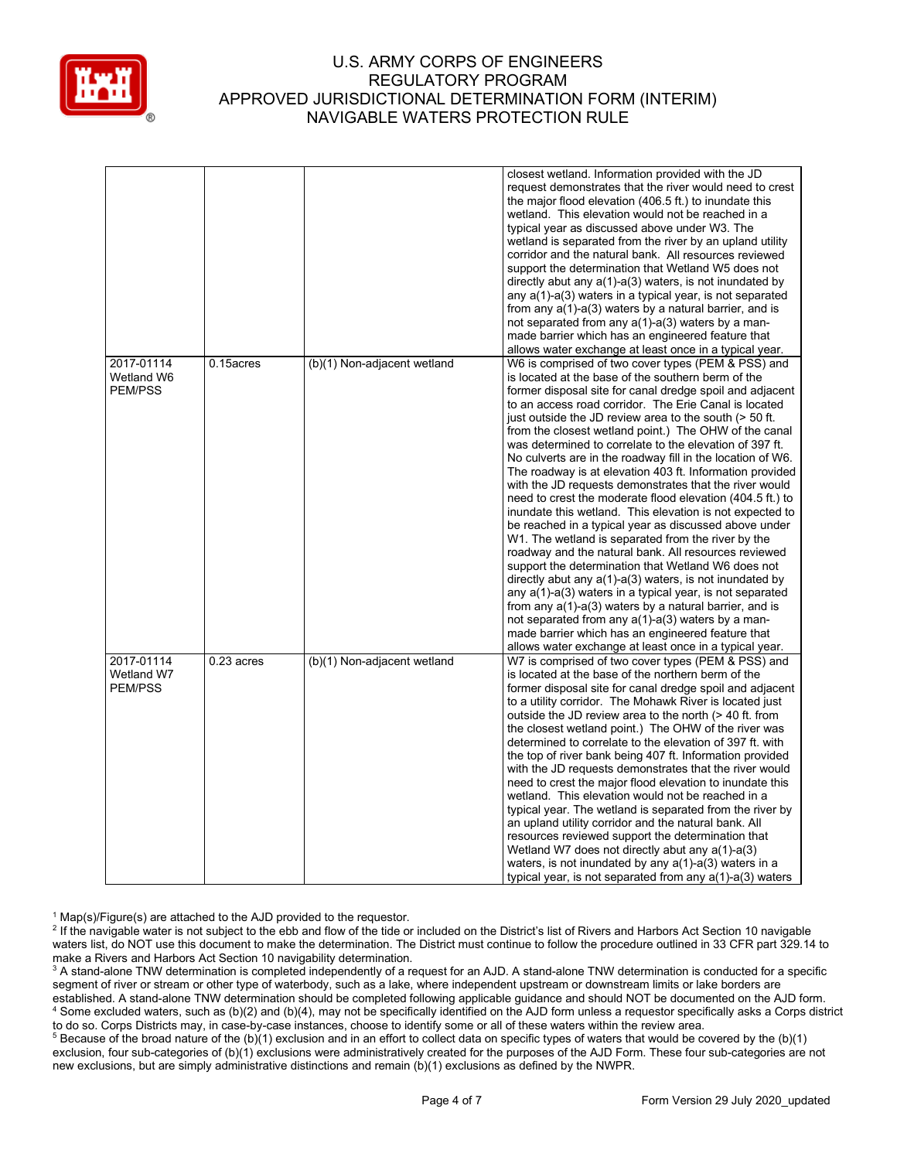

|            |              |                             | closest wetland. Information provided with the JD              |
|------------|--------------|-----------------------------|----------------------------------------------------------------|
|            |              |                             | request demonstrates that the river would need to crest        |
|            |              |                             | the major flood elevation (406.5 ft.) to inundate this         |
|            |              |                             | wetland. This elevation would not be reached in a              |
|            |              |                             | typical year as discussed above under W3. The                  |
|            |              |                             | wetland is separated from the river by an upland utility       |
|            |              |                             |                                                                |
|            |              |                             | corridor and the natural bank. All resources reviewed          |
|            |              |                             | support the determination that Wetland W5 does not             |
|            |              |                             | directly abut any a(1)-a(3) waters, is not inundated by        |
|            |              |                             | any a(1)-a(3) waters in a typical year, is not separated       |
|            |              |                             | from any $a(1)-a(3)$ waters by a natural barrier, and is       |
|            |              |                             | not separated from any $a(1)$ - $a(3)$ waters by a man-        |
|            |              |                             | made barrier which has an engineered feature that              |
|            |              |                             | allows water exchange at least once in a typical year.         |
| 2017-01114 | 0.15acres    | (b)(1) Non-adjacent wetland | W6 is comprised of two cover types (PEM & PSS) and             |
| Wetland W6 |              |                             | is located at the base of the southern berm of the             |
| PEM/PSS    |              |                             | former disposal site for canal dredge spoil and adjacent       |
|            |              |                             | to an access road corridor. The Erie Canal is located          |
|            |              |                             | just outside the JD review area to the south (> 50 ft.         |
|            |              |                             | from the closest wetland point.) The OHW of the canal          |
|            |              |                             | was determined to correlate to the elevation of 397 ft.        |
|            |              |                             |                                                                |
|            |              |                             | No culverts are in the roadway fill in the location of W6.     |
|            |              |                             | The roadway is at elevation 403 ft. Information provided       |
|            |              |                             | with the JD requests demonstrates that the river would         |
|            |              |                             | need to crest the moderate flood elevation (404.5 ft.) to      |
|            |              |                             | inundate this wetland. This elevation is not expected to       |
|            |              |                             | be reached in a typical year as discussed above under          |
|            |              |                             | W1. The wetland is separated from the river by the             |
|            |              |                             | roadway and the natural bank. All resources reviewed           |
|            |              |                             | support the determination that Wetland W6 does not             |
|            |              |                             | directly abut any $a(1)$ - $a(3)$ waters, is not inundated by  |
|            |              |                             | any a(1)-a(3) waters in a typical year, is not separated       |
|            |              |                             | from any $a(1)-a(3)$ waters by a natural barrier, and is       |
|            |              |                             | not separated from any $a(1)$ - $a(3)$ waters by a man-        |
|            |              |                             | made barrier which has an engineered feature that              |
|            |              |                             | allows water exchange at least once in a typical year.         |
| 2017-01114 |              |                             |                                                                |
|            | $0.23$ acres | (b)(1) Non-adjacent wetland | W7 is comprised of two cover types (PEM & PSS) and             |
| Wetland W7 |              |                             | is located at the base of the northern berm of the             |
| PEM/PSS    |              |                             | former disposal site for canal dredge spoil and adjacent       |
|            |              |                             | to a utility corridor. The Mohawk River is located just        |
|            |              |                             | outside the JD review area to the north (> 40 ft. from         |
|            |              |                             | the closest wetland point.) The OHW of the river was           |
|            |              |                             | determined to correlate to the elevation of 397 ft. with       |
|            |              |                             | the top of river bank being 407 ft. Information provided       |
|            |              |                             | with the JD requests demonstrates that the river would         |
|            |              |                             | need to crest the major flood elevation to inundate this       |
|            |              |                             | wetland. This elevation would not be reached in a              |
|            |              |                             | typical year. The wetland is separated from the river by       |
|            |              |                             | an upland utility corridor and the natural bank. All           |
|            |              |                             | resources reviewed support the determination that              |
|            |              |                             | Wetland W7 does not directly abut any a(1)-a(3)                |
|            |              |                             | waters, is not inundated by any $a(1)$ - $a(3)$ waters in a    |
|            |              |                             | typical year, is not separated from any $a(1)$ - $a(3)$ waters |
|            |              |                             |                                                                |

 $1$  Map(s)/Figure(s) are attached to the AJD provided to the requestor.

<sup>2</sup> If the navigable water is not subject to the ebb and flow of the tide or included on the District's list of Rivers and Harbors Act Section 10 navigable waters list, do NOT use this document to make the determination. The District must continue to follow the procedure outlined in 33 CFR part 329.14 to make a Rivers and Harbors Act Section 10 navigability determination.

<sup>3</sup> A stand-alone TNW determination is completed independently of a request for an AJD. A stand-alone TNW determination is conducted for a specific segment of river or stream or other type of waterbody, such as a lake, where independent upstream or downstream limits or lake borders are established. A stand-alone TNW determination should be completed following applicable guidance and should NOT be documented on the AJD form. <sup>4</sup> Some excluded waters, such as (b)(2) and (b)(4), may not be specifically identified on the AJD form unless a requestor specifically asks a Corps district to do so. Corps Districts may, in case-by-case instances, choose to identify some or all of these waters within the review area.

<sup>5</sup> Because of the broad nature of the (b)(1) exclusion and in an effort to collect data on specific types of waters that would be covered by the (b)(1) exclusion, four sub-categories of (b)(1) exclusions were administratively created for the purposes of the AJD Form. These four sub-categories are not new exclusions, but are simply administrative distinctions and remain (b)(1) exclusions as defined by the NWPR.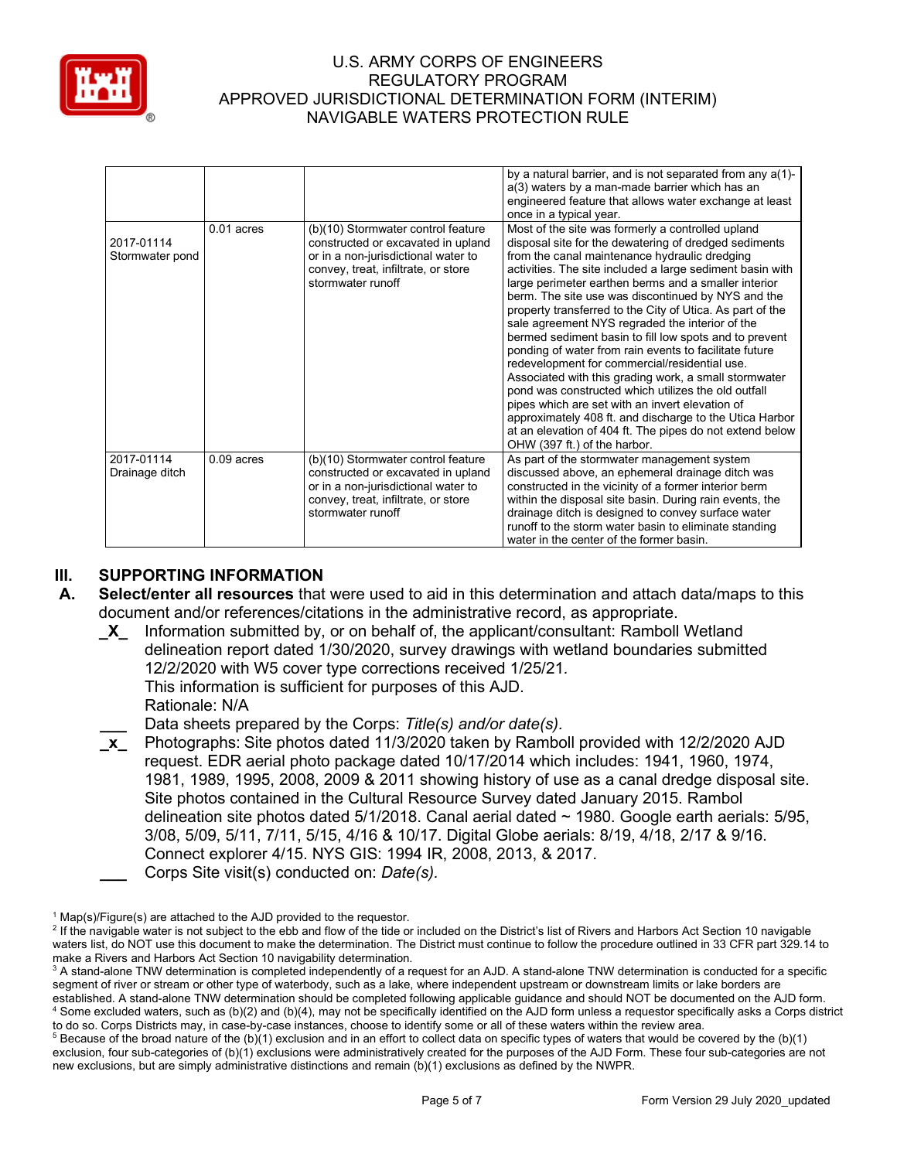

|                               |              |                                                                                                                                                                             | by a natural barrier, and is not separated from any a(1)-<br>a(3) waters by a man-made barrier which has an<br>engineered feature that allows water exchange at least<br>once in a typical year.                                                                                                                                                                                                                                                                                                                                                                                                                                                                                                                                                                                                                                                                                                                                                      |  |  |
|-------------------------------|--------------|-----------------------------------------------------------------------------------------------------------------------------------------------------------------------------|-------------------------------------------------------------------------------------------------------------------------------------------------------------------------------------------------------------------------------------------------------------------------------------------------------------------------------------------------------------------------------------------------------------------------------------------------------------------------------------------------------------------------------------------------------------------------------------------------------------------------------------------------------------------------------------------------------------------------------------------------------------------------------------------------------------------------------------------------------------------------------------------------------------------------------------------------------|--|--|
| 2017-01114<br>Stormwater pond | $0.01$ acres | (b)(10) Stormwater control feature<br>constructed or excavated in upland<br>or in a non-jurisdictional water to<br>convey, treat, infiltrate, or store<br>stormwater runoff | Most of the site was formerly a controlled upland<br>disposal site for the dewatering of dredged sediments<br>from the canal maintenance hydraulic dredging<br>activities. The site included a large sediment basin with<br>large perimeter earthen berms and a smaller interior<br>berm. The site use was discontinued by NYS and the<br>property transferred to the City of Utica. As part of the<br>sale agreement NYS regraded the interior of the<br>bermed sediment basin to fill low spots and to prevent<br>ponding of water from rain events to facilitate future<br>redevelopment for commercial/residential use.<br>Associated with this grading work, a small stormwater<br>pond was constructed which utilizes the old outfall<br>pipes which are set with an invert elevation of<br>approximately 408 ft. and discharge to the Utica Harbor<br>at an elevation of 404 ft. The pipes do not extend below<br>OHW (397 ft.) of the harbor. |  |  |
| 2017-01114<br>Drainage ditch  | $0.09$ acres | (b)(10) Stormwater control feature<br>constructed or excavated in upland<br>or in a non-jurisdictional water to<br>convey, treat, infiltrate, or store<br>stormwater runoff | As part of the stormwater management system<br>discussed above, an ephemeral drainage ditch was<br>constructed in the vicinity of a former interior berm<br>within the disposal site basin. During rain events, the<br>drainage ditch is designed to convey surface water<br>runoff to the storm water basin to eliminate standing<br>water in the center of the former basin.                                                                                                                                                                                                                                                                                                                                                                                                                                                                                                                                                                        |  |  |

# **III. SUPPORTING INFORMATION**

- **A. Select/enter all resources** that were used to aid in this determination and attach data/maps to this document and/or references/citations in the administrative record, as appropriate.
	- **\_X\_** Information submitted by, or on behalf of, the applicant/consultant: Ramboll Wetland delineation report dated 1/30/2020, survey drawings with wetland boundaries submitted 12/2/2020 with W5 cover type corrections received 1/25/21*.* This information is sufficient for purposes of this AJD. Rationale: N/A

**\_\_\_** Data sheets prepared by the Corps: *Title(s) and/or date(s).*

**\_x\_** Photographs: Site photos dated 11/3/2020 taken by Ramboll provided with 12/2/2020 AJD request. EDR aerial photo package dated 10/17/2014 which includes: 1941, 1960, 1974, 1981, 1989, 1995, 2008, 2009 & 2011 showing history of use as a canal dredge disposal site. Site photos contained in the Cultural Resource Survey dated January 2015. Rambol delineation site photos dated 5/1/2018. Canal aerial dated ~ 1980. Google earth aerials: 5/95, 3/08, 5/09, 5/11, 7/11, 5/15, 4/16 & 10/17. Digital Globe aerials: 8/19, 4/18, 2/17 & 9/16. Connect explorer 4/15. NYS GIS: 1994 IR, 2008, 2013, & 2017. **\_\_\_** Corps Site visit(s) conducted on: *Date(s).*

 $1$  Map(s)/Figure(s) are attached to the AJD provided to the requestor.

<sup>&</sup>lt;sup>2</sup> If the navigable water is not subject to the ebb and flow of the tide or included on the District's list of Rivers and Harbors Act Section 10 navigable waters list, do NOT use this document to make the determination. The District must continue to follow the procedure outlined in 33 CFR part 329.14 to make a Rivers and Harbors Act Section 10 navigability determination.

<sup>&</sup>lt;sup>3</sup> A stand-alone TNW determination is completed independently of a request for an AJD. A stand-alone TNW determination is conducted for a specific segment of river or stream or other type of waterbody, such as a lake, where independent upstream or downstream limits or lake borders are established. A stand-alone TNW determination should be completed following applicable guidance and should NOT be documented on the AJD form. <sup>4</sup> Some excluded waters, such as (b)(2) and (b)(4), may not be specifically identified on the AJD form unless a requestor specifically asks a Corps district to do so. Corps Districts may, in case-by-case instances, choose to identify some or all of these waters within the review area.

 $5$  Because of the broad nature of the (b)(1) exclusion and in an effort to collect data on specific types of waters that would be covered by the (b)(1) exclusion, four sub-categories of (b)(1) exclusions were administratively created for the purposes of the AJD Form. These four sub-categories are not new exclusions, but are simply administrative distinctions and remain (b)(1) exclusions as defined by the NWPR.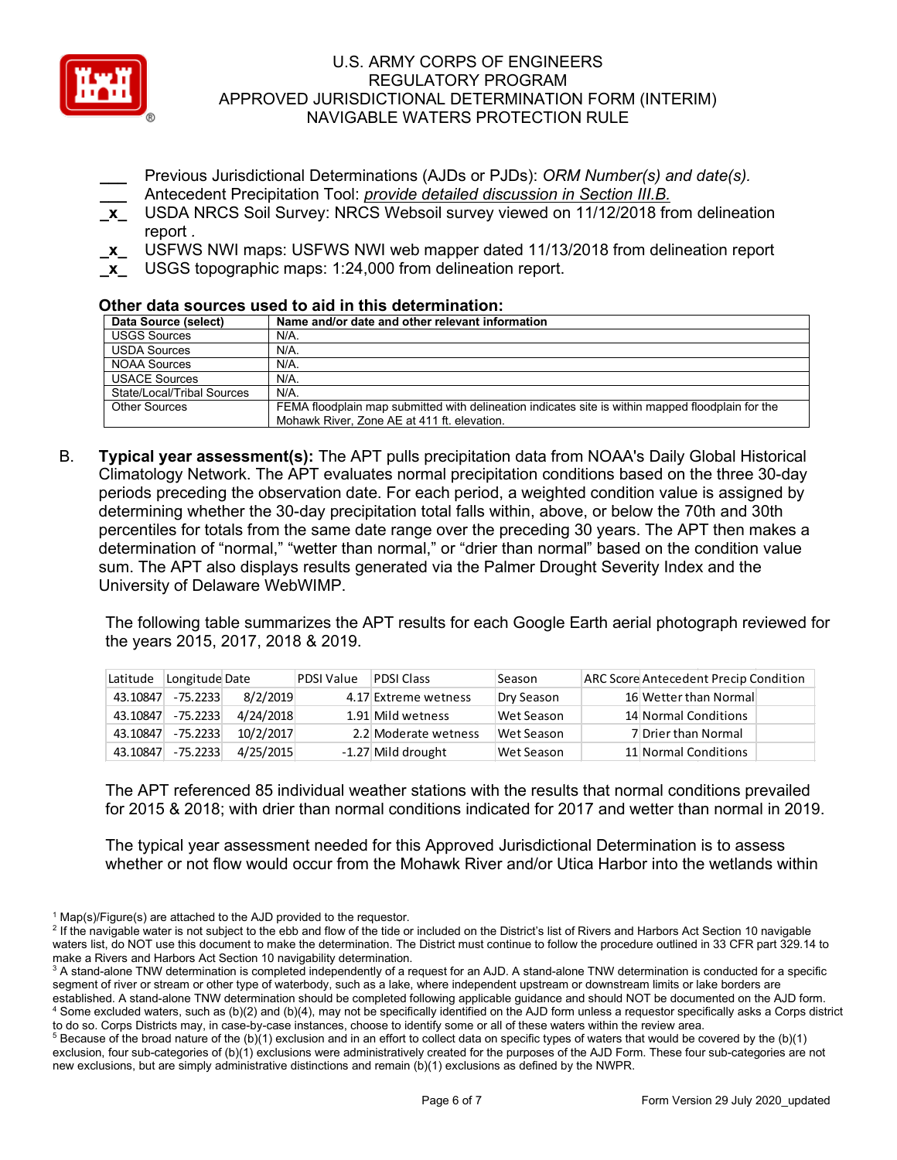

- **\_\_\_** Previous Jurisdictional Determinations (AJDs or PJDs): *ORM Number(s) and date(s).* **\_\_\_** Antecedent Precipitation Tool: *provide detailed discussion in Section III.B.*
- **\_x\_** USDA NRCS Soil Survey: NRCS Websoil survey viewed on 11/12/2018 from delineation report *.*
- **\_x\_** USFWS NWI maps: USFWS NWI web mapper dated 11/13/2018 from delineation report
- **\_x\_** USGS topographic maps: 1:24,000 from delineation report.

## **Other data sources used to aid in this determination:**

| Data Source (select)       | Name and/or date and other relevant information                                                   |
|----------------------------|---------------------------------------------------------------------------------------------------|
| <b>USGS Sources</b>        | N/A.                                                                                              |
| <b>USDA Sources</b>        | N/A.                                                                                              |
| NOAA Sources               | $N/A$ .                                                                                           |
| <b>USACE Sources</b>       | $N/A$ .                                                                                           |
| State/Local/Tribal Sources | $N/A$ .                                                                                           |
| Other Sources              | FEMA floodplain map submitted with delineation indicates site is within mapped floodplain for the |
|                            | Mohawk River, Zone AE at 411 ft. elevation.                                                       |

B. **Typical year assessment(s):** The APT pulls precipitation data from NOAA's Daily Global Historical Climatology Network. The APT evaluates normal precipitation conditions based on the three 30-day periods preceding the observation date. For each period, a weighted condition value is assigned by determining whether the 30-day precipitation total falls within, above, or below the 70th and 30th percentiles for totals from the same date range over the preceding 30 years. The APT then makes a determination of "normal," "wetter than normal," or "drier than normal" based on the condition value sum. The APT also displays results generated via the Palmer Drought Severity Index and the University of Delaware WebWIMP.

The following table summarizes the APT results for each Google Earth aerial photograph reviewed for the years 2015, 2017, 2018 & 2019.

| Latitude | Longitude Date |           | <b>PDSI Value</b> | <b>PDSI Class</b>    | Season     | <b>ARC Score Antecedent Precip Condition</b> |
|----------|----------------|-----------|-------------------|----------------------|------------|----------------------------------------------|
| 43.10847 | $-75.2233$     | 8/2/2019  |                   | 4.17 Extreme wetness | Dry Season | 16 Wetter than Normal                        |
| 43.10847 | $-75.2233$     | 4/24/2018 |                   | 1.91 Mild wetness    | Wet Season | 14 Normal Conditions                         |
| 43.10847 | $-75.2233$     | 10/2/2017 |                   | 2.2 Moderate wetness | Wet Season | 7 Drier than Normal                          |
| 43.10847 | $-75.2233$     | 4/25/2015 |                   | -1.27 Mild drought   | Wet Season | 11 Normal Conditions                         |

The APT referenced 85 individual weather stations with the results that normal conditions prevailed for 2015 & 2018; with drier than normal conditions indicated for 2017 and wetter than normal in 2019.

The typical year assessment needed for this Approved Jurisdictional Determination is to assess whether or not flow would occur from the Mohawk River and/or Utica Harbor into the wetlands within

 $1$  Map(s)/Figure(s) are attached to the AJD provided to the requestor.

<sup>&</sup>lt;sup>2</sup> If the navigable water is not subject to the ebb and flow of the tide or included on the District's list of Rivers and Harbors Act Section 10 navigable waters list, do NOT use this document to make the determination. The District must continue to follow the procedure outlined in 33 CFR part 329.14 to make a Rivers and Harbors Act Section 10 navigability determination.

<sup>&</sup>lt;sup>3</sup> A stand-alone TNW determination is completed independently of a request for an AJD. A stand-alone TNW determination is conducted for a specific segment of river or stream or other type of waterbody, such as a lake, where independent upstream or downstream limits or lake borders are established. A stand-alone TNW determination should be completed following applicable guidance and should NOT be documented on the AJD form. <sup>4</sup> Some excluded waters, such as (b)(2) and (b)(4), may not be specifically identified on the AJD form unless a requestor specifically asks a Corps district to do so. Corps Districts may, in case-by-case instances, choose to identify some or all of these waters within the review area.

 $5$  Because of the broad nature of the (b)(1) exclusion and in an effort to collect data on specific types of waters that would be covered by the (b)(1) exclusion, four sub-categories of (b)(1) exclusions were administratively created for the purposes of the AJD Form. These four sub-categories are not new exclusions, but are simply administrative distinctions and remain (b)(1) exclusions as defined by the NWPR.